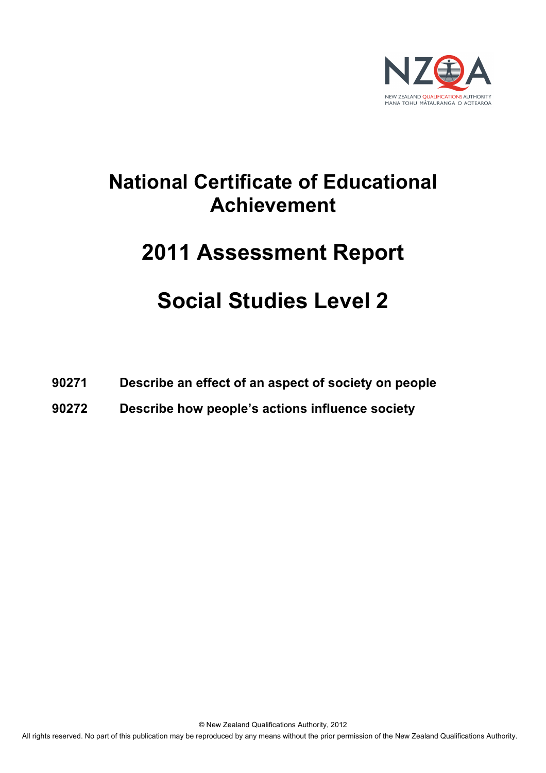

# **National Certificate of Educational Achievement**

# **2011 Assessment Report**

# **Social Studies Level 2**

**90271 Describe an effect of an aspect of society on people** 

**90272 Describe how people's actions influence society**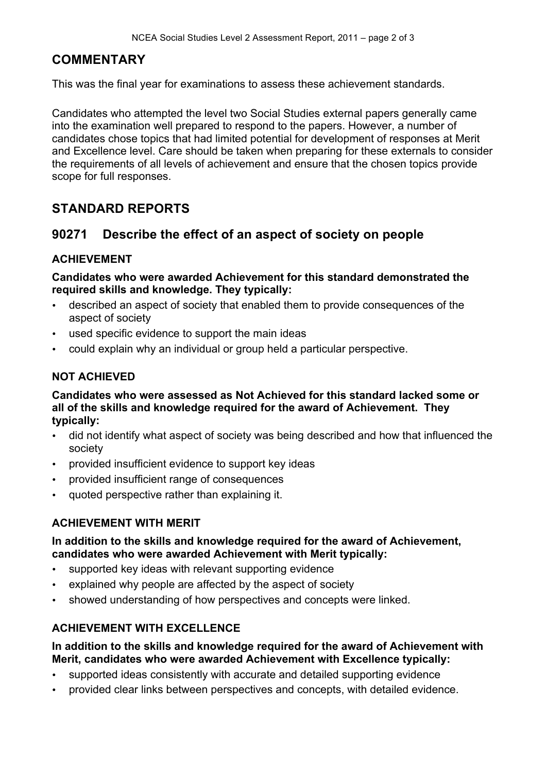# **COMMENTARY**

This was the final year for examinations to assess these achievement standards.

Candidates who attempted the level two Social Studies external papers generally came into the examination well prepared to respond to the papers. However, a number of candidates chose topics that had limited potential for development of responses at Merit and Excellence level. Care should be taken when preparing for these externals to consider the requirements of all levels of achievement and ensure that the chosen topics provide scope for full responses.

# **STANDARD REPORTS**

# **90271 Describe the effect of an aspect of society on people**

#### **ACHIEVEMENT**

**Candidates who were awarded Achievement for this standard demonstrated the required skills and knowledge. They typically:**

- described an aspect of society that enabled them to provide consequences of the aspect of society
- used specific evidence to support the main ideas
- could explain why an individual or group held a particular perspective.

# **NOT ACHIEVED**

**Candidates who were assessed as Not Achieved for this standard lacked some or all of the skills and knowledge required for the award of Achievement. They typically:**

- did not identify what aspect of society was being described and how that influenced the society
- provided insufficient evidence to support key ideas
- provided insufficient range of consequences
- quoted perspective rather than explaining it.

# **ACHIEVEMENT WITH MERIT**

#### **In addition to the skills and knowledge required for the award of Achievement, candidates who were awarded Achievement with Merit typically:**

- supported key ideas with relevant supporting evidence
- explained why people are affected by the aspect of society
- showed understanding of how perspectives and concepts were linked.

# **ACHIEVEMENT WITH EXCELLENCE**

#### **In addition to the skills and knowledge required for the award of Achievement with Merit, candidates who were awarded Achievement with Excellence typically:**

- supported ideas consistently with accurate and detailed supporting evidence
- provided clear links between perspectives and concepts, with detailed evidence.